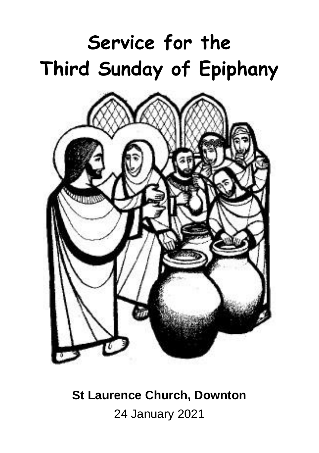# **Service for the Third Sunday of Epiphany**



**St Laurence Church, Downton** 24 January 2021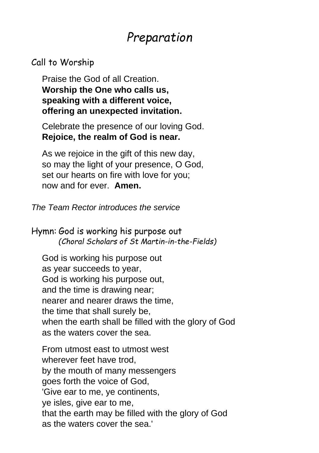## *Preparation*

#### Call to Worship

Praise the God of all Creation. **Worship the One who calls us, speaking with a different voice, offering an unexpected invitation.**

Celebrate the presence of our loving God. **Rejoice, the realm of God is near.**

As we rejoice in the gift of this new day, so may the light of your presence, O God, set our hearts on fire with love for you; now and for ever. **Amen.**

*The Team Rector introduces the service*

Hymn: God is working his purpose out *(Choral Scholars of St Martin-in-the-Fields)*

God is working his purpose out as year succeeds to year, God is working his purpose out, and the time is drawing near; nearer and nearer draws the time, the time that shall surely be, when the earth shall be filled with the glory of God as the waters cover the sea.

From utmost east to utmost west wherever feet have trod, by the mouth of many messengers goes forth the voice of God, 'Give ear to me, ye continents, ye isles, give ear to me, that the earth may be filled with the glory of God as the waters cover the sea.'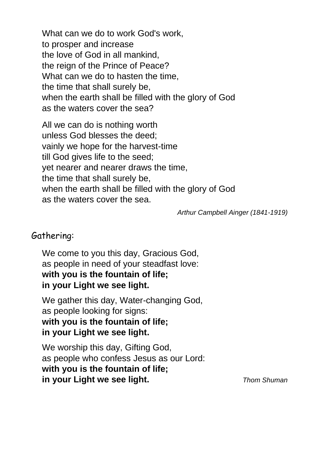What can we do to work God's work, to prosper and increase the love of God in all mankind, the reign of the Prince of Peace? What can we do to hasten the time, the time that shall surely be, when the earth shall be filled with the glory of God as the waters cover the sea?

All we can do is nothing worth unless God blesses the deed; vainly we hope for the harvest-time till God gives life to the seed; yet nearer and nearer draws the time, the time that shall surely be, when the earth shall be filled with the glory of God as the waters cover the sea.

*Arthur Campbell Ainger (1841-1919)*

#### Gathering:

We come to you this day, Gracious God, as people in need of your steadfast love: **with you is the fountain of life; in your Light we see light.**

We gather this day, Water-changing God, as people looking for signs: **with you is the fountain of life; in your Light we see light.**

We worship this day, Gifting God. as people who confess Jesus as our Lord: **with you is the fountain of life; in your Light we see light.** *Thom Shuman*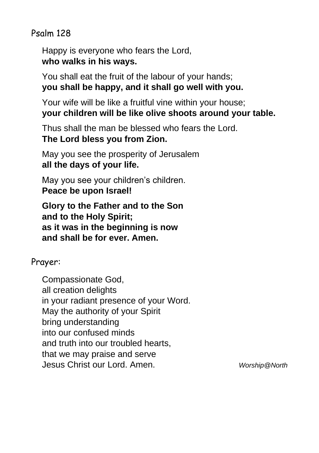Psalm 128

Happy is everyone who fears the Lord, **who walks in his ways.**

You shall eat the fruit of the labour of your hands; **you shall be happy, and it shall go well with you.**

Your wife will be like a fruitful vine within your house; **your children will be like olive shoots around your table.**

Thus shall the man be blessed who fears the Lord. **The Lord bless you from Zion.**

May you see the prosperity of Jerusalem **all the days of your life.**

May you see your children's children. **Peace be upon Israel!**

**Glory to the Father and to the Son and to the Holy Spirit; as it was in the beginning is now and shall be for ever. Amen.**

Prayer:

Compassionate God, all creation delights in your radiant presence of your Word. May the authority of your Spirit bring understanding into our confused minds and truth into our troubled hearts, that we may praise and serve Jesus Christ our Lord. Amen. *Worship@North*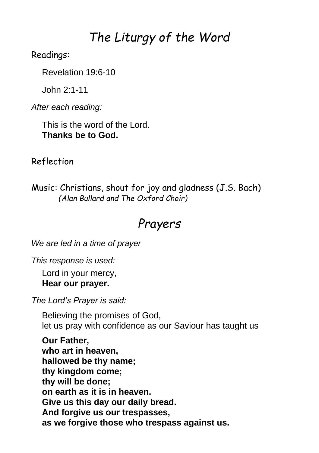## *The Liturgy of the Word*

Readings:

Revelation 19:6-10

John 2:1-11

*After each reading:*

This is the word of the Lord. **Thanks be to God.**

Reflection

Music: Christians, shout for joy and gladness (J.S. Bach) *(Alan Bullard and The Oxford Choir)*

### *Prayers*

*We are led in a time of prayer*

*This response is used:*

Lord in your mercy, **Hear our prayer.**

*The Lord's Prayer is said:*

Believing the promises of God, let us pray with confidence as our Saviour has taught us

**Our Father, who art in heaven, hallowed be thy name; thy kingdom come; thy will be done; on earth as it is in heaven. Give us this day our daily bread. And forgive us our trespasses, as we forgive those who trespass against us.**